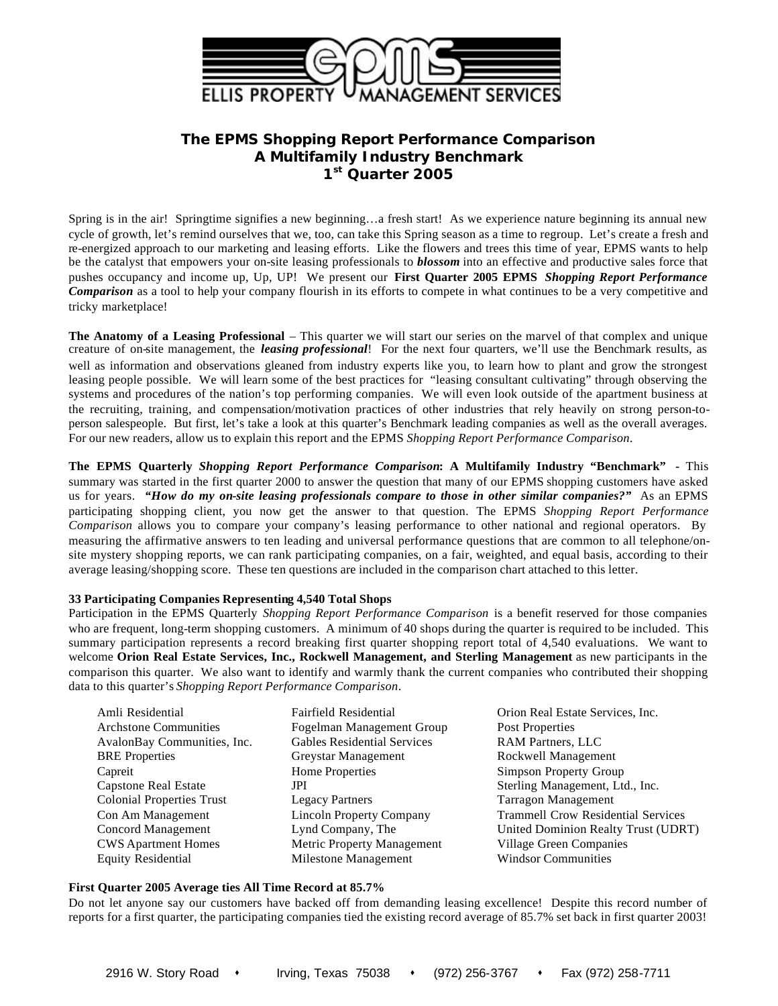

# **The EPMS** *Shopping Report Performance Comparison* **A Multifamily Industry Benchmark 1 st Quarter 2005**

Spring is in the air! Springtime signifies a new beginning…a fresh start! As we experience nature beginning its annual new cycle of growth, let's remind ourselves that we, too, can take this Spring season as a time to regroup. Let's create a fresh and re-energized approach to our marketing and leasing efforts. Like the flowers and trees this time of year, EPMS wants to help be the catalyst that empowers your on-site leasing professionals to *blossom* into an effective and productive sales force that pushes occupancy and income up, Up, UP! We present our **First Quarter 2005 EPMS** *Shopping Report Performance Comparison* as a tool to help your company flourish in its efforts to compete in what continues to be a very competitive and tricky marketplace!

**The Anatomy of a Leasing Professional** – This quarter we will start our series on the marvel of that complex and unique creature of on-site management, the *leasing professional*! For the next four quarters, we'll use the Benchmark results, as well as information and observations gleaned from industry experts like you, to learn how to plant and grow the strongest leasing people possible. We will learn some of the best practices for "leasing consultant cultivating" through observing the systems and procedures of the nation's top performing companies. We will even look outside of the apartment business at the recruiting, training, and compensation/motivation practices of other industries that rely heavily on strong person-toperson salespeople. But first, let's take a look at this quarter's Benchmark leading companies as well as the overall averages. For our new readers, allow us to explain this report and the EPMS *Shopping Report Performance Comparison*.

**The EPMS Quarterly** *Shopping Report Performance Comparison***: A Multifamily Industry "Benchmark" -** This summary was started in the first quarter 2000 to answer the question that many of our EPMS shopping customers have asked us for years. *"How do my on-site leasing professionals compare to those in other similar companies?"* As an EPMS participating shopping client, you now get the answer to that question. The EPMS *Shopping Report Performance Comparison* allows you to compare your company's leasing performance to other national and regional operators. By measuring the affirmative answers to ten leading and universal performance questions that are common to all telephone/onsite mystery shopping reports, we can rank participating companies, on a fair, weighted, and equal basis, according to their average leasing/shopping score. These ten questions are included in the comparison chart attached to this letter.

### **33 Participating Companies Representing 4,540 Total Shops**

Participation in the EPMS Quarterly *Shopping Report Performance Comparison* is a benefit reserved for those companies who are frequent, long-term shopping customers. A minimum of 40 shops during the quarter is required to be included. This summary participation represents a record breaking first quarter shopping report total of 4,540 evaluations. We want to welcome **Orion Real Estate Services, Inc., Rockwell Management, and Sterling Management** as new participants in the comparison this quarter. We also want to identify and warmly thank the current companies who contributed their shopping data to this quarter's *Shopping Report Performance Comparison*.

| Amli Residential                 | Fairfield Residential              | Orion Real Estate Services, Inc.          |
|----------------------------------|------------------------------------|-------------------------------------------|
| <b>Architone Communities</b>     | Fogelman Management Group          | Post Properties                           |
| AvalonBay Communities, Inc.      | <b>Gables Residential Services</b> | <b>RAM Partners, LLC</b>                  |
| <b>BRE</b> Properties            | Greystar Management                | Rockwell Management                       |
| Capreit                          | Home Properties                    | <b>Simpson Property Group</b>             |
| <b>Capstone Real Estate</b>      | JPI                                | Sterling Management, Ltd., Inc.           |
| <b>Colonial Properties Trust</b> | <b>Legacy Partners</b>             | Tarragon Management                       |
| Con Am Management                | <b>Lincoln Property Company</b>    | <b>Trammell Crow Residential Services</b> |
| Concord Management               | Lynd Company, The                  | United Dominion Realty Trust (UDRT)       |
| <b>CWS</b> Apartment Homes       | Metric Property Management         | Village Green Companies                   |
| <b>Equity Residential</b>        | Milestone Management               | <b>Windsor Communities</b>                |

## **First Quarter 2005 Average ties All Time Record at 85.7%**

Do not let anyone say our customers have backed off from demanding leasing excellence! Despite this record number of reports for a first quarter, the participating companies tied the existing record average of 85.7% set back in first quarter 2003!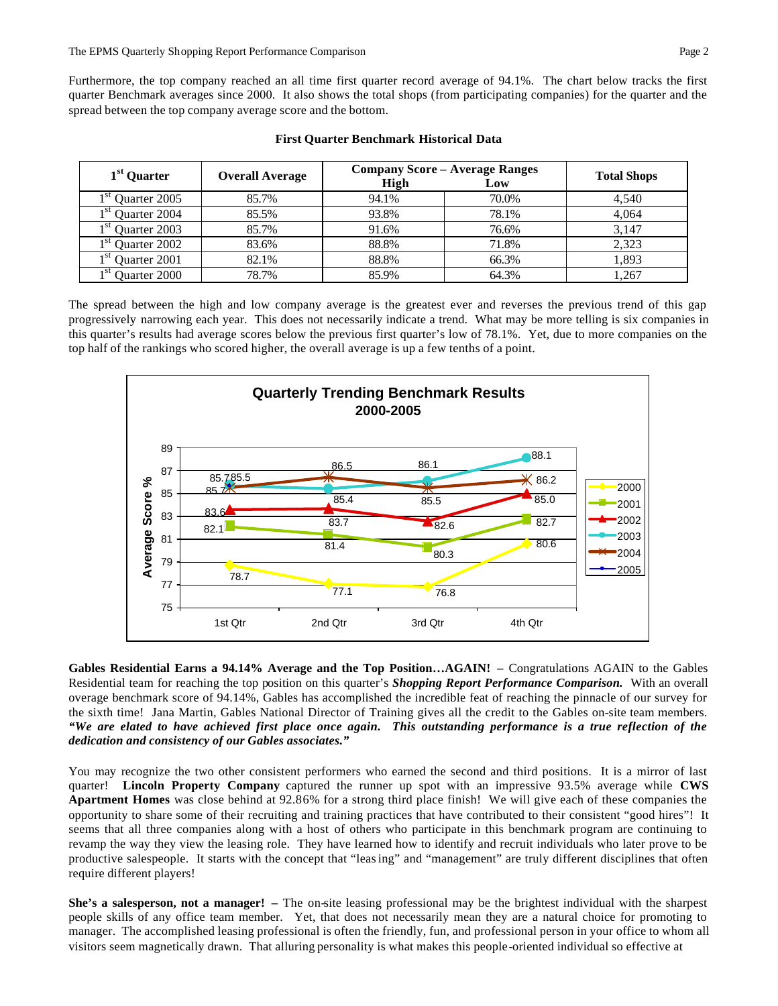Furthermore, the top company reached an all time first quarter record average of 94.1%. The chart below tracks the first quarter Benchmark averages since 2000. It also shows the total shops (from participating companies) for the quarter and the spread between the top company average score and the bottom.

| 1 <sup>st</sup> Quarter | <b>Overall Average</b> | High  | <b>Company Score - Average Ranges</b><br>Low | <b>Total Shops</b> |
|-------------------------|------------------------|-------|----------------------------------------------|--------------------|
| $1st$ Quarter 2005      | 85.7%                  | 94.1% | 70.0%                                        | 4,540              |
| $1st$ Quarter 2004      | 85.5%                  | 93.8% | 78.1%                                        | 4.064              |
| $1st$ Quarter 2003      | 85.7%                  | 91.6% | 76.6%                                        | 3,147              |
| $1st$ Quarter 2002      | 83.6%                  | 88.8% | 71.8%                                        | 2,323              |
| $1st$ Quarter 2001      | 82.1%                  | 88.8% | 66.3%                                        | 1.893              |
| $1st$ Quarter 2000      | 78.7%                  | 85.9% | 64.3%                                        | 1,267              |

| <b>First Quarter Benchmark Historical Data</b> |  |  |  |  |
|------------------------------------------------|--|--|--|--|
|------------------------------------------------|--|--|--|--|

The spread between the high and low company average is the greatest ever and reverses the previous trend of this gap progressively narrowing each year. This does not necessarily indicate a trend. What may be more telling is six companies in this quarter's results had average scores below the previous first quarter's low of 78.1%. Yet, due to more companies on the top half of the rankings who scored higher, the overall average is up a few tenths of a point.



**Gables Residential Earns a 94.14% Average and the Top Position…AGAIN! –** Congratulations AGAIN to the Gables Residential team for reaching the top position on this quarter's *Shopping Report Performance Comparison.* With an overall overage benchmark score of 94.14%, Gables has accomplished the incredible feat of reaching the pinnacle of our survey for the sixth time! Jana Martin, Gables National Director of Training gives all the credit to the Gables on-site team members. *"We are elated to have achieved first place once again. This outstanding performance is a true reflection of the dedication and consistency of our Gables associates."* 

You may recognize the two other consistent performers who earned the second and third positions. It is a mirror of last quarter! **Lincoln Property Company** captured the runner up spot with an impressive 93.5% average while **CWS Apartment Homes** was close behind at 92.86% for a strong third place finish! We will give each of these companies the opportunity to share some of their recruiting and training practices that have contributed to their consistent "good hires"! It seems that all three companies along with a host of others who participate in this benchmark program are continuing to revamp the way they view the leasing role. They have learned how to identify and recruit individuals who later prove to be productive salespeople. It starts with the concept that "leasing" and "management" are truly different disciplines that often require different players!

**She's a salesperson, not a manager! –** The on-site leasing professional may be the brightest individual with the sharpest people skills of any office team member. Yet, that does not necessarily mean they are a natural choice for promoting to manager. The accomplished leasing professional is often the friendly, fun, and professional person in your office to whom all visitors seem magnetically drawn. That alluring personality is what makes this people-oriented individual so effective at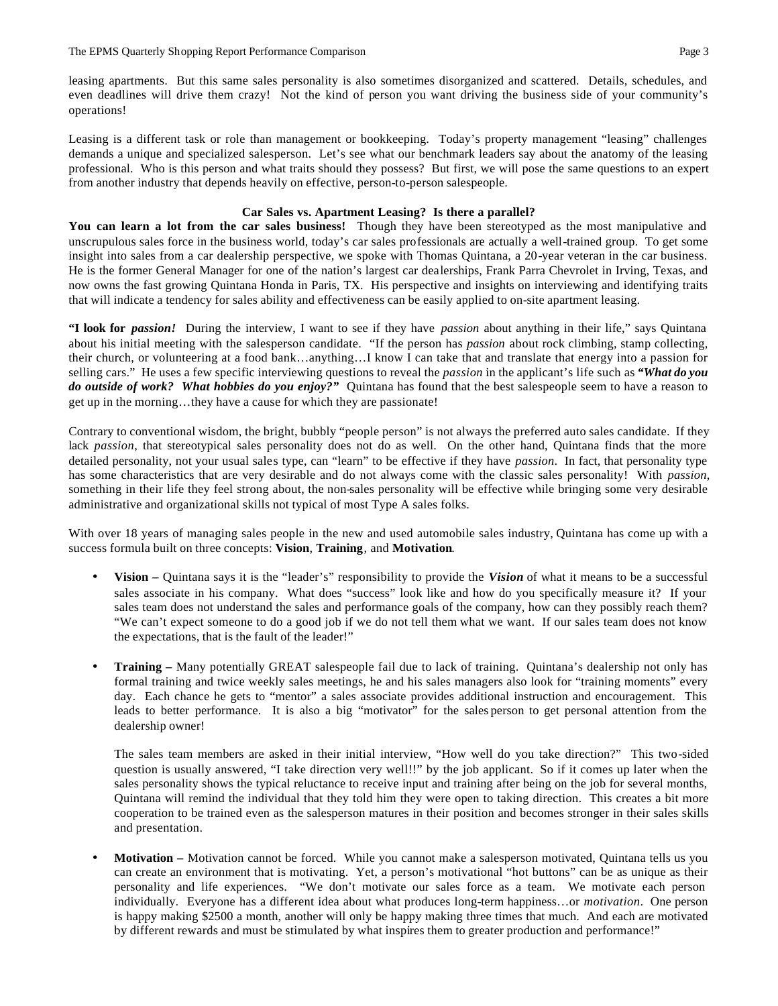leasing apartments. But this same sales personality is also sometimes disorganized and scattered. Details, schedules, and even deadlines will drive them crazy! Not the kind of person you want driving the business side of your community's operations!

Leasing is a different task or role than management or bookkeeping. Today's property management "leasing" challenges demands a unique and specialized salesperson. Let's see what our benchmark leaders say about the anatomy of the leasing professional. Who is this person and what traits should they possess? But first, we will pose the same questions to an expert from another industry that depends heavily on effective, person-to-person salespeople.

## **Car Sales vs. Apartment Leasing? Is there a parallel?**

**You can learn a lot from the car sales business!** Though they have been stereotyped as the most manipulative and unscrupulous sales force in the business world, today's car sales professionals are actually a well-trained group. To get some insight into sales from a car dealership perspective, we spoke with Thomas Quintana, a 20-year veteran in the car business. He is the former General Manager for one of the nation's largest car dealerships, Frank Parra Chevrolet in Irving, Texas, and now owns the fast growing Quintana Honda in Paris, TX. His perspective and insights on interviewing and identifying traits that will indicate a tendency for sales ability and effectiveness can be easily applied to on-site apartment leasing.

**"I look for** *passion!* During the interview, I want to see if they have *passion* about anything in their life," says Quintana about his initial meeting with the salesperson candidate. "If the person has *passion* about rock climbing, stamp collecting, their church, or volunteering at a food bank…anything…I know I can take that and translate that energy into a passion for selling cars." He uses a few specific interviewing questions to reveal the *passion* in the applicant's life such as *"What do you do outside of work? What hobbies do you enjoy?"* Quintana has found that the best salespeople seem to have a reason to get up in the morning…they have a cause for which they are passionate!

Contrary to conventional wisdom, the bright, bubbly "people person" is not always the preferred auto sales candidate. If they lack *passion*, that stereotypical sales personality does not do as well. On the other hand, Quintana finds that the more detailed personality, not your usual sales type, can "learn" to be effective if they have *passion*. In fact, that personality type has some characteristics that are very desirable and do not always come with the classic sales personality! With *passion*, something in their life they feel strong about, the non-sales personality will be effective while bringing some very desirable administrative and organizational skills not typical of most Type A sales folks.

With over 18 years of managing sales people in the new and used automobile sales industry, Quintana has come up with a success formula built on three concepts: **Vision**, **Training**, and **Motivation**.

- **Vision –** Quintana says it is the "leader's" responsibility to provide the *Vision* of what it means to be a successful sales associate in his company. What does "success" look like and how do you specifically measure it? If your sales team does not understand the sales and performance goals of the company, how can they possibly reach them? "We can't expect someone to do a good job if we do not tell them what we want. If our sales team does not know the expectations, that is the fault of the leader!"
- **Training –** Many potentially GREAT salespeople fail due to lack of training. Quintana's dealership not only has formal training and twice weekly sales meetings, he and his sales managers also look for "training moments" every day. Each chance he gets to "mentor" a sales associate provides additional instruction and encouragement. This leads to better performance. It is also a big "motivator" for the sales person to get personal attention from the dealership owner!

The sales team members are asked in their initial interview, "How well do you take direction?" This two-sided question is usually answered, "I take direction very well!!" by the job applicant. So if it comes up later when the sales personality shows the typical reluctance to receive input and training after being on the job for several months, Quintana will remind the individual that they told him they were open to taking direction. This creates a bit more cooperation to be trained even as the salesperson matures in their position and becomes stronger in their sales skills and presentation.

• **Motivation –** Motivation cannot be forced. While you cannot make a salesperson motivated, Quintana tells us you can create an environment that is motivating. Yet, a person's motivational "hot buttons" can be as unique as their personality and life experiences. "We don't motivate our sales force as a team. We motivate each person individually. Everyone has a different idea about what produces long-term happiness…or *motivation*. One person is happy making \$2500 a month, another will only be happy making three times that much. And each are motivated by different rewards and must be stimulated by what inspires them to greater production and performance!"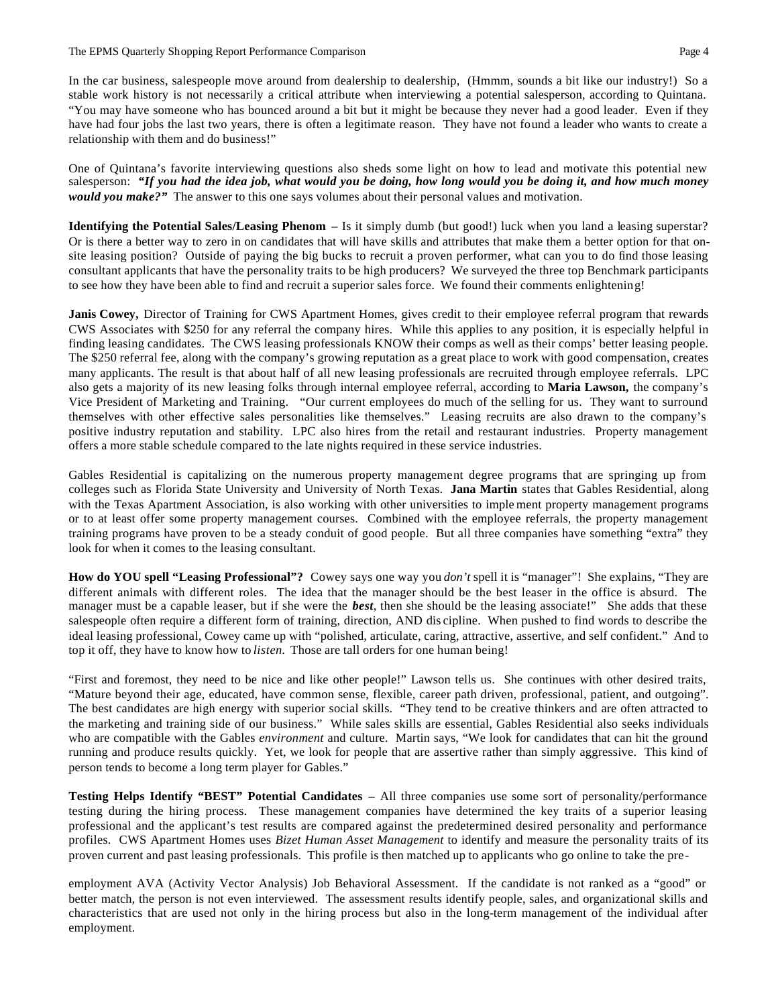In the car business, salespeople move around from dealership to dealership, (Hmmm, sounds a bit like our industry!) So a stable work history is not necessarily a critical attribute when interviewing a potential salesperson, according to Quintana. "You may have someone who has bounced around a bit but it might be because they never had a good leader. Even if they have had four jobs the last two years, there is often a legitimate reason. They have not found a leader who wants to create a relationship with them and do business!"

One of Quintana's favorite interviewing questions also sheds some light on how to lead and motivate this potential new salesperson: *"If you had the idea job, what would you be doing, how long would you be doing it, and how much money would you make?"* The answer to this one says volumes about their personal values and motivation.

**Identifying the Potential Sales/Leasing Phenom –** Is it simply dumb (but good!) luck when you land a leasing superstar? Or is there a better way to zero in on candidates that will have skills and attributes that make them a better option for that onsite leasing position? Outside of paying the big bucks to recruit a proven performer, what can you to do find those leasing consultant applicants that have the personality traits to be high producers? We surveyed the three top Benchmark participants to see how they have been able to find and recruit a superior sales force. We found their comments enlightening!

**Janis Cowey,** Director of Training for CWS Apartment Homes, gives credit to their employee referral program that rewards CWS Associates with \$250 for any referral the company hires. While this applies to any position, it is especially helpful in finding leasing candidates. The CWS leasing professionals KNOW their comps as well as their comps' better leasing people. The \$250 referral fee, along with the company's growing reputation as a great place to work with good compensation, creates many applicants. The result is that about half of all new leasing professionals are recruited through employee referrals. LPC also gets a majority of its new leasing folks through internal employee referral, according to **Maria Lawson,** the company's Vice President of Marketing and Training. "Our current employees do much of the selling for us. They want to surround themselves with other effective sales personalities like themselves." Leasing recruits are also drawn to the company's positive industry reputation and stability. LPC also hires from the retail and restaurant industries. Property management offers a more stable schedule compared to the late nights required in these service industries.

Gables Residential is capitalizing on the numerous property management degree programs that are springing up from colleges such as Florida State University and University of North Texas. **Jana Martin** states that Gables Residential, along with the Texas Apartment Association, is also working with other universities to imple ment property management programs or to at least offer some property management courses. Combined with the employee referrals, the property management training programs have proven to be a steady conduit of good people. But all three companies have something "extra" they look for when it comes to the leasing consultant.

**How do YOU spell "Leasing Professional"?** Cowey says one way you *don't* spell it is "manager"! She explains, "They are different animals with different roles. The idea that the manager should be the best leaser in the office is absurd. The manager must be a capable leaser, but if she were the *best*, then she should be the leasing associate!" She adds that these salespeople often require a different form of training, direction, AND dis cipline. When pushed to find words to describe the ideal leasing professional, Cowey came up with "polished, articulate, caring, attractive, assertive, and self confident." And to top it off, they have to know how to *listen*. Those are tall orders for one human being!

"First and foremost, they need to be nice and like other people!" Lawson tells us. She continues with other desired traits, "Mature beyond their age, educated, have common sense, flexible, career path driven, professional, patient, and outgoing". The best candidates are high energy with superior social skills. "They tend to be creative thinkers and are often attracted to the marketing and training side of our business." While sales skills are essential, Gables Residential also seeks individuals who are compatible with the Gables *environment* and culture. Martin says, "We look for candidates that can hit the ground running and produce results quickly. Yet, we look for people that are assertive rather than simply aggressive. This kind of person tends to become a long term player for Gables."

**Testing Helps Identify "BEST" Potential Candidates –** All three companies use some sort of personality/performance testing during the hiring process. These management companies have determined the key traits of a superior leasing professional and the applicant's test results are compared against the predetermined desired personality and performance profiles. CWS Apartment Homes uses *Bizet Human Asset Management* to identify and measure the personality traits of its proven current and past leasing professionals. This profile is then matched up to applicants who go online to take the pre-

employment AVA (Activity Vector Analysis) Job Behavioral Assessment. If the candidate is not ranked as a "good" or better match, the person is not even interviewed. The assessment results identify people, sales, and organizational skills and characteristics that are used not only in the hiring process but also in the long-term management of the individual after employment.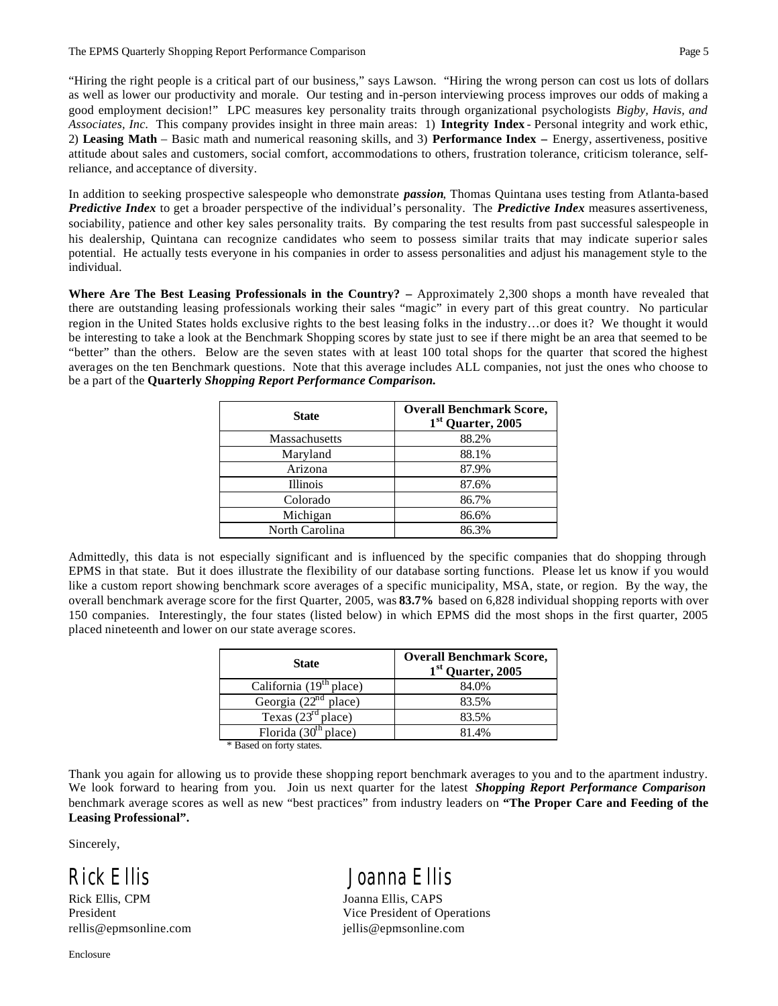"Hiring the right people is a critical part of our business," says Lawson. "Hiring the wrong person can cost us lots of dollars as well as lower our productivity and morale. Our testing and in-person interviewing process improves our odds of making a good employment decision!" LPC measures key personality traits through organizational psychologists *Bigby, Havis, and Associates, Inc.* This company provides insight in three main areas: 1) **Integrity Index** - Personal integrity and work ethic, 2) **Leasing Math** – Basic math and numerical reasoning skills, and 3) **Performance Index –** Energy, assertiveness, positive attitude about sales and customers, social comfort, accommodations to others, frustration tolerance, criticism tolerance, selfreliance, and acceptance of diversity.

In addition to seeking prospective salespeople who demonstrate *passion*, Thomas Quintana uses testing from Atlanta-based *Predictive Index* to get a broader perspective of the individual's personality. The *Predictive Index* measures assertiveness, sociability, patience and other key sales personality traits. By comparing the test results from past successful salespeople in his dealership, Quintana can recognize candidates who seem to possess similar traits that may indicate superior sales potential. He actually tests everyone in his companies in order to assess personalities and adjust his management style to the individual.

**Where Are The Best Leasing Professionals in the Country? –** Approximately 2,300 shops a month have revealed that there are outstanding leasing professionals working their sales "magic" in every part of this great country. No particular region in the United States holds exclusive rights to the best leasing folks in the industry…or does it? We thought it would be interesting to take a look at the Benchmark Shopping scores by state just to see if there might be an area that seemed to be "better" than the others. Below are the seven states with at least 100 total shops for the quarter that scored the highest averages on the ten Benchmark questions. Note that this average includes ALL companies, not just the ones who choose to be a part of the **Quarterly** *Shopping Report Performance Comparison.* 

| <b>State</b>    | <b>Overall Benchmark Score,</b><br>1 <sup>st</sup> Quarter, 2005 |
|-----------------|------------------------------------------------------------------|
| Massachusetts   | 88.2%                                                            |
| Maryland        | 88.1%                                                            |
| Arizona         | 87.9%                                                            |
| <b>Illinois</b> | 87.6%                                                            |
| Colorado        | 86.7%                                                            |
| Michigan        | 86.6%                                                            |
| North Carolina  | 86.3%                                                            |

Admittedly, this data is not especially significant and is influenced by the specific companies that do shopping through EPMS in that state. But it does illustrate the flexibility of our database sorting functions. Please let us know if you would like a custom report showing benchmark score averages of a specific municipality, MSA, state, or region. By the way, the overall benchmark average score for the first Quarter, 2005, was **83.7%** based on 6,828 individual shopping reports with over 150 companies. Interestingly, the four states (listed below) in which EPMS did the most shops in the first quarter, 2005 placed nineteenth and lower on our state average scores.

| <b>State</b>                     | <b>Overall Benchmark Score,</b><br>1 <sup>st</sup> Quarter, 2005 |
|----------------------------------|------------------------------------------------------------------|
| California $(19th$ place)        | 84.0%                                                            |
| Georgia (22 <sup>nd</sup> place) | 83.5%                                                            |
| Texas $(23rd place)$             | 83.5%                                                            |
| Florida $(30th$ place)           | 81.4%                                                            |

\* Based on forty states.

Thank you again for allowing us to provide these shopping report benchmark averages to you and to the apartment industry. We look forward to hearing from you. Join us next quarter for the latest *Shopping Report Performance Comparison*  benchmark average scores as well as new "best practices" from industry leaders on **"The Proper Care and Feeding of the Leasing Professional".** 

Sincerely,

Rick Ellis, CPM Joanna Ellis, CAPS rellis@epmsonline.com jellis@epmsonline.com

Enclosure

# *Rick Ellis Joanna Ellis*

President Vice President of Operations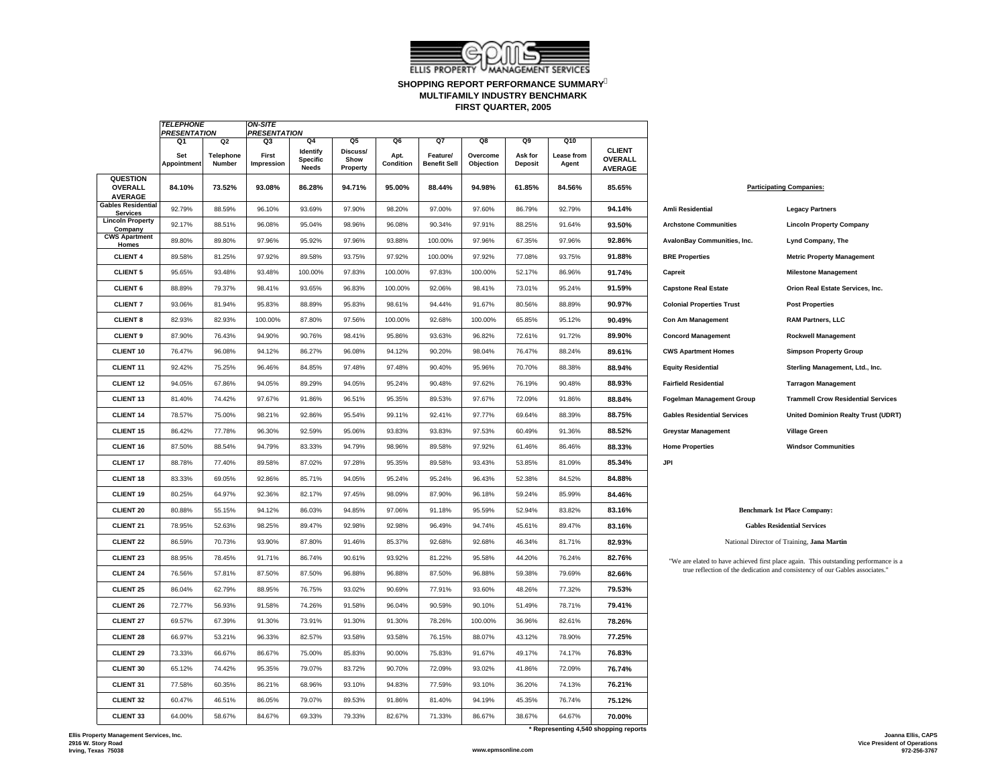

### **SHOPPING REPORT PERFORMANCE SUMMARY FIRST QUARTER, 2005 MULTIFAMILY INDUSTRY BENCHMARK**

|                                                     | <b>TELEPHONE</b><br><b>PRESENTATION</b> |                            | <b>ON-SITE</b><br><b>PRESENTATION</b> |                                             |                              |                   |                                 |                       |                           |                     |                                                   |                                    |                                                                                      |
|-----------------------------------------------------|-----------------------------------------|----------------------------|---------------------------------------|---------------------------------------------|------------------------------|-------------------|---------------------------------|-----------------------|---------------------------|---------------------|---------------------------------------------------|------------------------------------|--------------------------------------------------------------------------------------|
|                                                     | Q1                                      | Q <sub>2</sub>             | Q3                                    | 04                                          | Q5                           | Q6                | Q7                              | Q8                    | Q9                        | Q10                 |                                                   |                                    |                                                                                      |
|                                                     | Set<br>Appointment                      | <b>Telephone</b><br>Number | First<br>Impression                   | <b>Identify</b><br><b>Specific</b><br>Needs | Discuss/<br>Show<br>Property | Apt.<br>Condition | Feature/<br><b>Benefit Sell</b> | Overcome<br>Objection | Ask for<br><b>Deposit</b> | Lease from<br>Agent | <b>CLIENT</b><br><b>OVERALL</b><br><b>AVERAGE</b> |                                    |                                                                                      |
| <b>QUESTION</b><br><b>OVERALL</b><br><b>AVERAGE</b> | 84.10%                                  | 73.52%                     | 93.08%                                | 86.28%                                      | 94.71%                       | 95.00%            | 88.44%                          | 94.98%                | 61.85%                    | 84.56%              | 85.65%                                            |                                    | <b>Participating Companies:</b>                                                      |
| <b>Gables Residential</b><br><b>Services</b>        | 92.79%                                  | 88.59%                     | 96.10%                                | 93.69%                                      | 97.90%                       | 98.20%            | 97.00%                          | 97.60%                | 86.79%                    | 92.79%              | 94.14%                                            | <b>Amli Residential</b>            | <b>Legacy Partners</b>                                                               |
| <b>Lincoln Property</b><br>Company                  | 92.17%                                  | 88.51%                     | 96.08%                                | 95.04%                                      | 98.96%                       | 96.08%            | 90.34%                          | 97.91%                | 88.25%                    | 91.64%              | 93.50%                                            | <b>Archstone Communities</b>       | <b>Lincoln Property Company</b>                                                      |
| <b>CWS Apartment</b><br>Homes                       | 89.80%                                  | 89.80%                     | 97.96%                                | 95.92%                                      | 97.96%                       | 93.88%            | 100.00%                         | 97.96%                | 67.35%                    | 97.96%              | 92.86%                                            | AvalonBay Communities, Inc.        | Lynd Company, The                                                                    |
| <b>CLIENT 4</b>                                     | 89.58%                                  | 81.25%                     | 97.92%                                | 89.58%                                      | 93.75%                       | 97.92%            | 100.00%                         | 97.92%                | 77.08%                    | 93.75%              | 91.88%                                            | <b>BRE Properties</b>              | <b>Metric Property Management</b>                                                    |
| <b>CLIENT 5</b>                                     | 95.65%                                  | 93.48%                     | 93.48%                                | 100.00%                                     | 97.83%                       | 100.00%           | 97.83%                          | 100.00%               | 52.17%                    | 86.96%              | 91.74%                                            | Capreit                            | <b>Milestone Management</b>                                                          |
| <b>CLIENT 6</b>                                     | 88.89%                                  | 79.37%                     | 98.41%                                | 93.65%                                      | 96.83%                       | 100.00%           | 92.06%                          | 98.41%                | 73.01%                    | 95.24%              | 91.59%                                            | <b>Capstone Real Estate</b>        | Orion Real Estate Services, Inc.                                                     |
| <b>CLIENT7</b>                                      | 93.06%                                  | 81.94%                     | 95.83%                                | 88.89%                                      | 95.83%                       | 98.61%            | 94.44%                          | 91.67%                | 80.56%                    | 88.89%              | 90.97%                                            | <b>Colonial Properties Trust</b>   | <b>Post Properties</b>                                                               |
| <b>CLIENT 8</b>                                     | 82.93%                                  | 82.93%                     | 100.00%                               | 87.80%                                      | 97.56%                       | 100.00%           | 92.68%                          | 100.00%               | 65.85%                    | 95.12%              | 90.49%                                            | <b>Con Am Management</b>           | <b>RAM Partners, LLC</b>                                                             |
| <b>CLIENT 9</b>                                     | 87.90%                                  | 76.43%                     | 94.90%                                | 90.76%                                      | 98.41%                       | 95.86%            | 93.63%                          | 96.82%                | 72.61%                    | 91.72%              | 89.90%                                            | <b>Concord Management</b>          | <b>Rockwell Management</b>                                                           |
| <b>CLIENT 10</b>                                    | 76.47%                                  | 96.08%                     | 94.12%                                | 86.27%                                      | 96.08%                       | 94.12%            | 90.20%                          | 98.04%                | 76.47%                    | 88.24%              | 89.61%                                            | <b>CWS Apartment Homes</b>         | <b>Simpson Property Group</b>                                                        |
| <b>CLIENT 11</b>                                    | 92.42%                                  | 75.25%                     | 96.46%                                | 84.85%                                      | 97.48%                       | 97.48%            | 90.40%                          | 95.96%                | 70.70%                    | 88.38%              | 88.94%                                            | <b>Equity Residential</b>          | Sterling Management, Ltd., Inc.                                                      |
| <b>CLIENT 12</b>                                    | 94.05%                                  | 67.86%                     | 94.05%                                | 89.29%                                      | 94.05%                       | 95.24%            | 90.48%                          | 97.62%                | 76.19%                    | 90.48%              | 88.93%                                            | <b>Fairfield Residential</b>       | <b>Tarragon Management</b>                                                           |
| <b>CLIENT 13</b>                                    | 81.40%                                  | 74.42%                     | 97.67%                                | 91.86%                                      | 96.51%                       | 95.35%            | 89.53%                          | 97.67%                | 72.09%                    | 91.86%              | 88.84%                                            | <b>Fogelman Management Group</b>   | <b>Trammell Crow Residential Services</b>                                            |
| <b>CLIENT 14</b>                                    | 78.57%                                  | 75.00%                     | 98.21%                                | 92.86%                                      | 95.54%                       | 99.11%            | 92.41%                          | 97.77%                | 69.64%                    | 88.39%              | 88.75%                                            | <b>Gables Residential Services</b> | <b>United Dominion Realty Trust (UDRT)</b>                                           |
| <b>CLIENT 15</b>                                    | 86.42%                                  | 77.78%                     | 96.30%                                | 92.59%                                      | 95.06%                       | 93.83%            | 93.83%                          | 97.53%                | 60.49%                    | 91.36%              | 88.52%                                            | <b>Greystar Management</b>         | <b>Village Green</b>                                                                 |
| <b>CLIENT 16</b>                                    | 87.50%                                  | 88.54%                     | 94.79%                                | 83.33%                                      | 94.79%                       | 98.96%            | 89.58%                          | 97.92%                | 61.46%                    | 86.46%              | 88.33%                                            | <b>Home Properties</b>             | <b>Windsor Communities</b>                                                           |
| <b>CLIENT 17</b>                                    | 88.78%                                  | 77.40%                     | 89.58%                                | 87.02%                                      | 97.28%                       | 95.35%            | 89.58%                          | 93.43%                | 53.85%                    | 81.09%              | 85.34%                                            | JPI                                |                                                                                      |
| <b>CLIENT 18</b>                                    | 83.33%                                  | 69.05%                     | 92.86%                                | 85.71%                                      | 94.05%                       | 95.24%            | 95.24%                          | 96.43%                | 52.38%                    | 84.52%              | 84.88%                                            |                                    |                                                                                      |
| <b>CLIENT 19</b>                                    | 80.25%                                  | 64.97%                     | 92.36%                                | 82.17%                                      | 97.45%                       | 98.09%            | 87.90%                          | 96.18%                | 59.24%                    | 85.99%              | 84.46%                                            |                                    |                                                                                      |
| <b>CLIENT 20</b>                                    | 80.88%                                  | 55.15%                     | 94.12%                                | 86.03%                                      | 94.85%                       | 97.06%            | 91.18%                          | 95.59%                | 52.94%                    | 83.82%              | 83.16%                                            |                                    | <b>Benchmark 1st Place Company:</b>                                                  |
| <b>CLIENT 21</b>                                    | 78.95%                                  | 52.63%                     | 98.25%                                | 89.47%                                      | 92.98%                       | 92.98%            | 96.49%                          | 94.74%                | 45.61%                    | 89.47%              | 83.16%                                            |                                    | <b>Gables Residential Services</b>                                                   |
| <b>CLIENT 22</b>                                    | 86.59%                                  | 70.73%                     | 93.90%                                | 87.80%                                      | 91.46%                       | 85.37%            | 92.68%                          | 92.68%                | 46.34%                    | 81.71%              | 82.93%                                            |                                    | National Director of Training, Jana Martin                                           |
| <b>CLIENT 23</b>                                    | 88.95%                                  | 78.45%                     | 91.71%                                | 86.74%                                      | 90.61%                       | 93.92%            | 81.22%                          | 95.58%                | 44.20%                    | 76.24%              | 82.76%                                            |                                    | "We are elated to have achieved first place again. This outstanding performance is a |
| <b>CLIENT 24</b>                                    | 76.56%                                  | 57.81%                     | 87.50%                                | 87.50%                                      | 96.88%                       | 96.88%            | 87.50%                          | 96.88%                | 59.38%                    | 79.69%              | 82.66%                                            |                                    | true reflection of the dedication and consistency of our Gables associates."         |
| <b>CLIENT 25</b>                                    | 86.04%                                  | 62.79%                     | 88.95%                                | 76.75%                                      | 93.02%                       | 90.69%            | 77.91%                          | 93.60%                | 48.26%                    | 77.32%              | 79.53%                                            |                                    |                                                                                      |
| <b>CLIENT 26</b>                                    | 72.77%                                  | 56.93%                     | 91.58%                                | 74.26%                                      | 91.58%                       | 96.04%            | 90.59%                          | 90.10%                | 51.49%                    | 78.71%              | 79.41%                                            |                                    |                                                                                      |
| <b>CLIENT 27</b>                                    | 69.57%                                  | 67.39%                     | 91.30%                                | 73.91%                                      | 91.30%                       | 91.30%            | 78.26%                          | 100.00%               | 36.96%                    | 82.61%              | 78.26%                                            |                                    |                                                                                      |
| <b>CLIENT 28</b>                                    | 66.97%                                  | 53.21%                     | 96.33%                                | 82.57%                                      | 93.58%                       | 93.58%            | 76.15%                          | 88.07%                | 43.12%                    | 78.90%              | 77.25%                                            |                                    |                                                                                      |
| <b>CLIENT 29</b>                                    | 73.33%                                  | 66.67%                     | 86.67%                                | 75.00%                                      | 85.83%                       | 90.00%            | 75.83%                          | 91.67%                | 49.17%                    | 74.17%              | 76.83%                                            |                                    |                                                                                      |
| <b>CLIENT 30</b>                                    | 65.12%                                  | 74.42%                     | 95.35%                                | 79.07%                                      | 83.72%                       | 90.70%            | 72.09%                          | 93.02%                | 41.86%                    | 72.09%              | 76.74%                                            |                                    |                                                                                      |
| <b>CLIENT 31</b>                                    | 77.58%                                  | 60.35%                     | 86.21%                                | 68.96%                                      | 93.10%                       | 94.83%            | 77.59%                          | 93.10%                | 36.20%                    | 74.13%              | 76.21%                                            |                                    |                                                                                      |
| <b>CLIENT 32</b>                                    | 60.47%                                  | 46.51%                     | 86.05%                                | 79.07%                                      | 89.53%                       | 91.86%            | 81.40%                          | 94.19%                | 45.35%                    | 76.74%              | 75.12%                                            |                                    |                                                                                      |
| <b>CLIENT 33</b>                                    | 64.00%                                  | 58.67%                     | 84.67%                                | 69.33%                                      | 79.33%                       | 82.67%            | 71.33%                          | 86.67%                | 38.67%                    | 64.67%              | 70.00%                                            |                                    |                                                                                      |
|                                                     |                                         |                            |                                       |                                             |                              |                   |                                 |                       |                           |                     | * Representing 4,540 shopping reports             |                                    |                                                                                      |

| <b>Participating Companies:</b> |                                           |  |  |
|---------------------------------|-------------------------------------------|--|--|
| ential                          | <b>Legacy Partners</b>                    |  |  |
| <b>Communities</b>              | <b>Lincoln Property Company</b>           |  |  |
| Communities, Inc.               | Lynd Company, The                         |  |  |
| <b>rties</b>                    | <b>Metric Property Management</b>         |  |  |
|                                 | <b>Milestone Management</b>               |  |  |
| Real Estate                     | Orion Real Estate Services. Inc.          |  |  |
| roperties Trust                 | <b>Post Properties</b>                    |  |  |
| anagement                       | <b>RAM Partners, LLC</b>                  |  |  |
| lanagement                      | <b>Rockwell Management</b>                |  |  |
| ment Homes                      | <b>Simpson Property Group</b>             |  |  |
| idential                        | Sterling Management, Ltd., Inc.           |  |  |
| esidential                      | <b>Tarragon Management</b>                |  |  |
| <b>Management Group</b>         | <b>Trammell Crow Residential Services</b> |  |  |
| sidential Services              | <b>United Dominion Realty Trust (UDR</b>  |  |  |
| lanagement                      | <b>Village Green</b>                      |  |  |
| erties                          | <b>Windsor Communities</b>                |  |  |

#### **Benchmark 1st Place Company:**

*TELEPHONE*